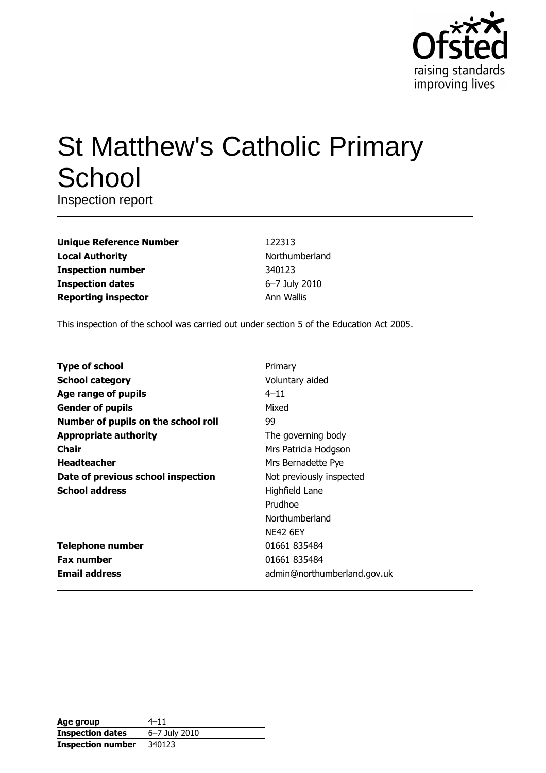

# **St Matthew's Catholic Primary** School

Inspection report

| <b>Unique Reference Number</b> |
|--------------------------------|
| <b>Local Authority</b>         |
| <b>Inspection number</b>       |
| <b>Inspection dates</b>        |
| <b>Reporting inspector</b>     |

122313 Northumberland 340123 6-7 July 2010 Ann Wallis

This inspection of the school was carried out under section 5 of the Education Act 2005.

| <b>Type of school</b>               | Primary                     |
|-------------------------------------|-----------------------------|
| <b>School category</b>              | Voluntary aided             |
| Age range of pupils                 | $4 - 11$                    |
| <b>Gender of pupils</b>             | Mixed                       |
| Number of pupils on the school roll | 99                          |
| <b>Appropriate authority</b>        | The governing body          |
| Chair                               | Mrs Patricia Hodgson        |
| <b>Headteacher</b>                  | Mrs Bernadette Pye          |
| Date of previous school inspection  | Not previously inspected    |
| <b>School address</b>               | Highfield Lane              |
|                                     | Prudhoe                     |
|                                     | Northumberland              |
|                                     | <b>NF42 6FY</b>             |
| <b>Telephone number</b>             | 01661 835484                |
| <b>Fax number</b>                   | 01661 835484                |
| <b>Email address</b>                | admin@northumberland.gov.uk |

| Age group                | $4 - 11$      |
|--------------------------|---------------|
| <b>Inspection dates</b>  | 6-7 July 2010 |
| <b>Inspection number</b> | 340123        |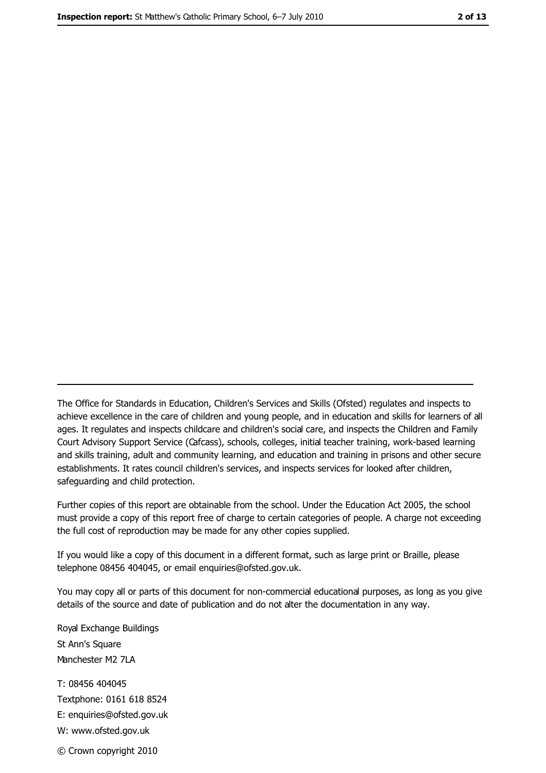The Office for Standards in Education, Children's Services and Skills (Ofsted) regulates and inspects to achieve excellence in the care of children and young people, and in education and skills for learners of all ages. It regulates and inspects childcare and children's social care, and inspects the Children and Family Court Advisory Support Service (Cafcass), schools, colleges, initial teacher training, work-based learning and skills training, adult and community learning, and education and training in prisons and other secure establishments. It rates council children's services, and inspects services for looked after children, safequarding and child protection.

Further copies of this report are obtainable from the school. Under the Education Act 2005, the school must provide a copy of this report free of charge to certain categories of people. A charge not exceeding the full cost of reproduction may be made for any other copies supplied.

If you would like a copy of this document in a different format, such as large print or Braille, please telephone 08456 404045, or email enquiries@ofsted.gov.uk.

You may copy all or parts of this document for non-commercial educational purposes, as long as you give details of the source and date of publication and do not alter the documentation in any way.

Royal Exchange Buildings St Ann's Square Manchester M2 7LA T: 08456 404045 Textphone: 0161 618 8524 E: enquiries@ofsted.gov.uk W: www.ofsted.gov.uk

© Crown copyright 2010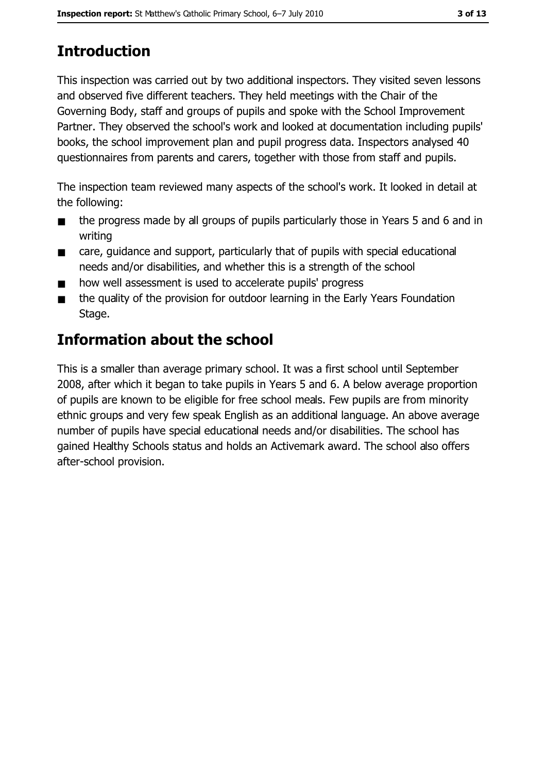# **Introduction**

This inspection was carried out by two additional inspectors. They visited seven lessons and observed five different teachers. They held meetings with the Chair of the Governing Body, staff and groups of pupils and spoke with the School Improvement Partner. They observed the school's work and looked at documentation including pupils' books, the school improvement plan and pupil progress data. Inspectors analysed 40 questionnaires from parents and carers, together with those from staff and pupils.

The inspection team reviewed many aspects of the school's work. It looked in detail at the following:

- the progress made by all groups of pupils particularly those in Years 5 and 6 and in  $\blacksquare$ writing
- care, quidance and support, particularly that of pupils with special educational  $\blacksquare$ needs and/or disabilities, and whether this is a strength of the school
- how well assessment is used to accelerate pupils' progress
- the quality of the provision for outdoor learning in the Early Years Foundation  $\blacksquare$ Stage.

# Information about the school

This is a smaller than average primary school. It was a first school until September 2008, after which it began to take pupils in Years 5 and 6. A below average proportion of pupils are known to be eligible for free school meals. Few pupils are from minority ethnic groups and very few speak English as an additional language. An above average number of pupils have special educational needs and/or disabilities. The school has gained Healthy Schools status and holds an Activemark award. The school also offers after-school provision.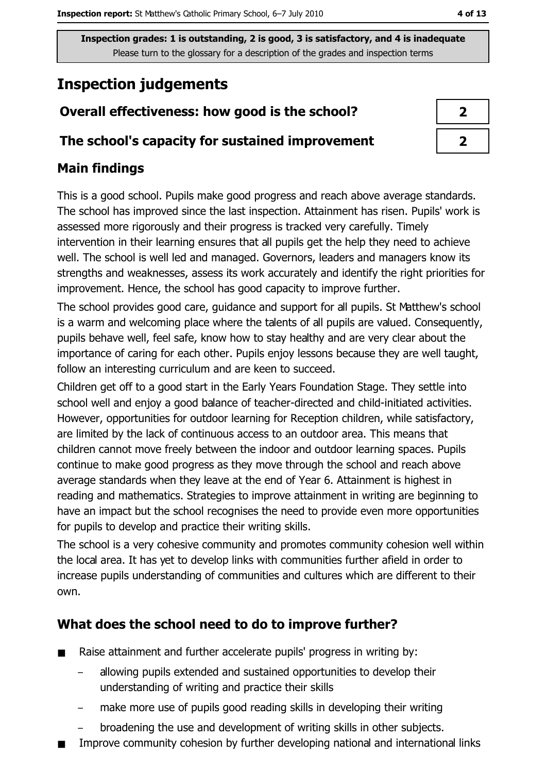Inspection grades: 1 is outstanding, 2 is good, 3 is satisfactory, and 4 is inadequate Please turn to the glossary for a description of the grades and inspection terms

# **Inspection judgements**

## Overall effectiveness: how good is the school?

#### The school's capacity for sustained improvement

## **Main findings**

This is a good school. Pupils make good progress and reach above average standards. The school has improved since the last inspection. Attainment has risen. Pupils' work is assessed more rigorously and their progress is tracked very carefully. Timely intervention in their learning ensures that all pupils get the help they need to achieve well. The school is well led and managed. Governors, leaders and managers know its strengths and weaknesses, assess its work accurately and identify the right priorities for improvement. Hence, the school has good capacity to improve further.

The school provides good care, guidance and support for all pupils. St Matthew's school is a warm and welcoming place where the talents of all pupils are valued. Consequently, pupils behave well, feel safe, know how to stay healthy and are very clear about the importance of caring for each other. Pupils enjoy lessons because they are well taught, follow an interesting curriculum and are keen to succeed.

Children get off to a good start in the Early Years Foundation Stage. They settle into school well and enjoy a good balance of teacher-directed and child-initiated activities. However, opportunities for outdoor learning for Reception children, while satisfactory, are limited by the lack of continuous access to an outdoor area. This means that children cannot move freely between the indoor and outdoor learning spaces. Pupils continue to make good progress as they move through the school and reach above average standards when they leave at the end of Year 6. Attainment is highest in reading and mathematics. Strategies to improve attainment in writing are beginning to have an impact but the school recognises the need to provide even more opportunities for pupils to develop and practice their writing skills.

The school is a very cohesive community and promotes community cohesion well within the local area. It has yet to develop links with communities further afield in order to increase pupils understanding of communities and cultures which are different to their own.

## What does the school need to do to improve further?

- Raise attainment and further accelerate pupils' progress in writing by:  $\blacksquare$ 
	- allowing pupils extended and sustained opportunities to develop their understanding of writing and practice their skills
	- make more use of pupils good reading skills in developing their writing
	- broadening the use and development of writing skills in other subjects.
- Improve community cohesion by further developing national and international links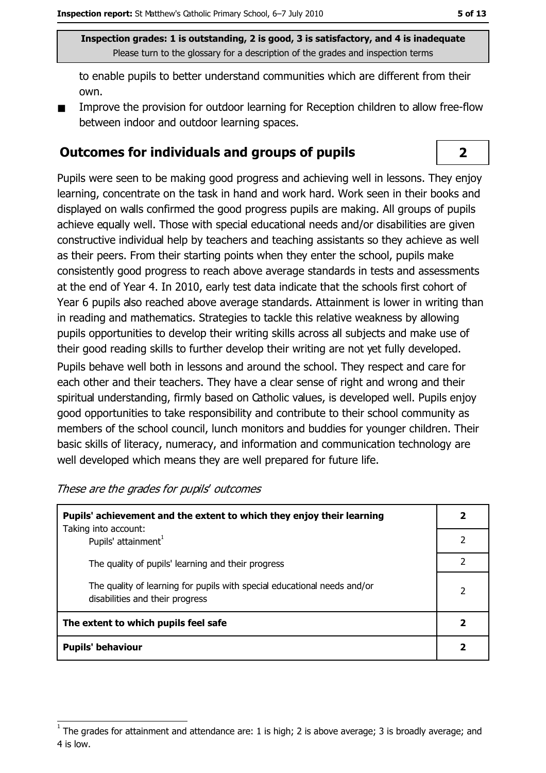$\overline{2}$ 

Inspection grades: 1 is outstanding, 2 is good, 3 is satisfactory, and 4 is inadequate Please turn to the glossary for a description of the grades and inspection terms

to enable pupils to better understand communities which are different from their own.

Improve the provision for outdoor learning for Reception children to allow free-flow between indoor and outdoor learning spaces.

#### **Outcomes for individuals and groups of pupils**

Pupils were seen to be making good progress and achieving well in lessons. They enjoy learning, concentrate on the task in hand and work hard. Work seen in their books and displayed on walls confirmed the good progress pupils are making. All groups of pupils achieve equally well. Those with special educational needs and/or disabilities are given constructive individual help by teachers and teaching assistants so they achieve as well as their peers. From their starting points when they enter the school, pupils make consistently good progress to reach above average standards in tests and assessments at the end of Year 4. In 2010, early test data indicate that the schools first cohort of Year 6 pupils also reached above average standards. Attainment is lower in writing than in reading and mathematics. Strategies to tackle this relative weakness by allowing pupils opportunities to develop their writing skills across all subjects and make use of their good reading skills to further develop their writing are not vet fully developed.

Pupils behave well both in lessons and around the school. They respect and care for each other and their teachers. They have a clear sense of right and wrong and their spiritual understanding, firmly based on Catholic values, is developed well. Pupils enjoy good opportunities to take responsibility and contribute to their school community as members of the school council, lunch monitors and buddies for younger children. Their basic skills of literacy, numeracy, and information and communication technology are well developed which means they are well prepared for future life.

These are the grades for pupils' outcomes

| Pupils' achievement and the extent to which they enjoy their learning                                       |   |
|-------------------------------------------------------------------------------------------------------------|---|
| Taking into account:<br>Pupils' attainment <sup>1</sup>                                                     |   |
| The quality of pupils' learning and their progress                                                          |   |
| The quality of learning for pupils with special educational needs and/or<br>disabilities and their progress | 2 |
| The extent to which pupils feel safe                                                                        |   |
| <b>Pupils' behaviour</b>                                                                                    |   |

The grades for attainment and attendance are: 1 is high; 2 is above average; 3 is broadly average; and 4 is low.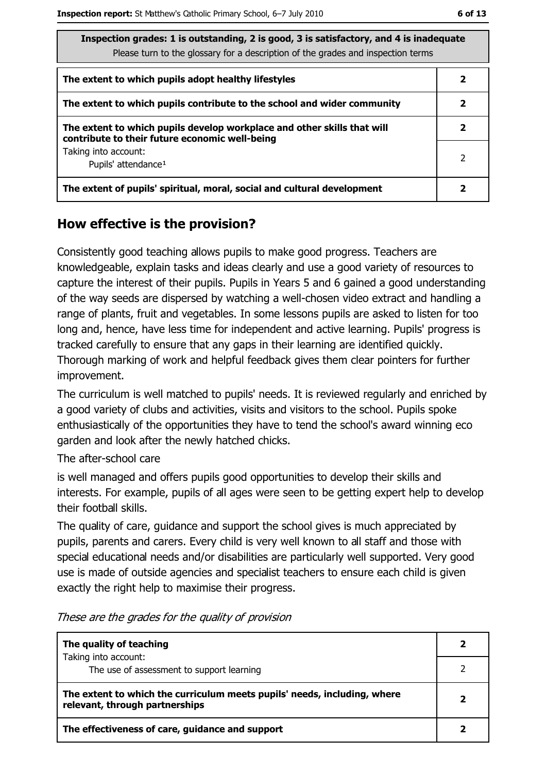| ۰.<br>۰.<br>.,<br>×<br>۰. |  |
|---------------------------|--|
|---------------------------|--|

| Inspection grades: 1 is outstanding, 2 is good, 3 is satisfactory, and 4 is inadequate |  |
|----------------------------------------------------------------------------------------|--|
| Please turn to the glossary for a description of the grades and inspection terms       |  |

| The extent to which pupils adopt healthy lifestyles                                                                       | 2 |
|---------------------------------------------------------------------------------------------------------------------------|---|
| The extent to which pupils contribute to the school and wider community                                                   |   |
| The extent to which pupils develop workplace and other skills that will<br>contribute to their future economic well-being |   |
| Taking into account:<br>Pupils' attendance <sup>1</sup>                                                                   | 2 |
| The extent of pupils' spiritual, moral, social and cultural development                                                   |   |

## How effective is the provision?

Consistently good teaching allows pupils to make good progress. Teachers are knowledgeable, explain tasks and ideas clearly and use a good variety of resources to capture the interest of their pupils. Pupils in Years 5 and 6 gained a good understanding of the way seeds are dispersed by watching a well-chosen video extract and handling a range of plants, fruit and vegetables. In some lessons pupils are asked to listen for too long and, hence, have less time for independent and active learning. Pupils' progress is tracked carefully to ensure that any gaps in their learning are identified quickly. Thorough marking of work and helpful feedback gives them clear pointers for further improvement.

The curriculum is well matched to pupils' needs. It is reviewed regularly and enriched by a good variety of clubs and activities, visits and visitors to the school. Pupils spoke enthusiastically of the opportunities they have to tend the school's award winning eco garden and look after the newly hatched chicks.

The after-school care

is well managed and offers pupils good opportunities to develop their skills and interests. For example, pupils of all ages were seen to be getting expert help to develop their football skills.

The quality of care, guidance and support the school gives is much appreciated by pupils, parents and carers. Every child is very well known to all staff and those with special educational needs and/or disabilities are particularly well supported. Very good use is made of outside agencies and specialist teachers to ensure each child is given exactly the right help to maximise their progress.

| The quality of teaching                                                                                    |  |  |
|------------------------------------------------------------------------------------------------------------|--|--|
| Taking into account:<br>The use of assessment to support learning                                          |  |  |
| The extent to which the curriculum meets pupils' needs, including, where<br>relevant, through partnerships |  |  |
| The effectiveness of care, guidance and support                                                            |  |  |

These are the grades for the quality of provision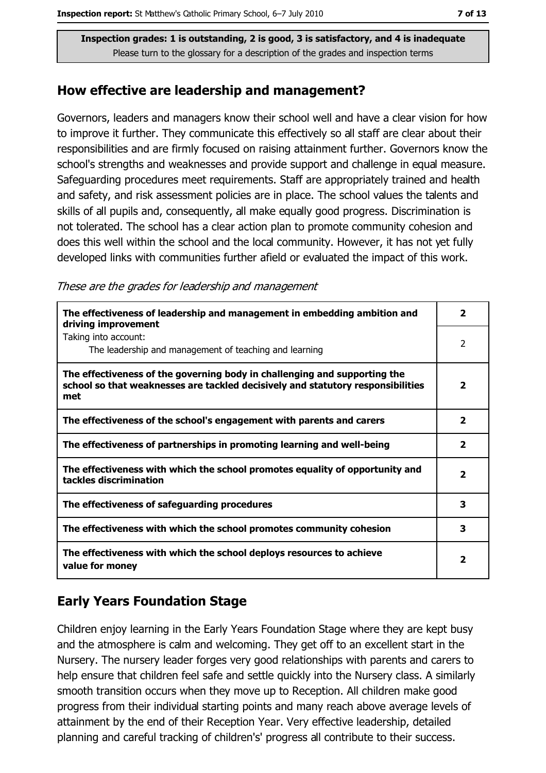Inspection grades: 1 is outstanding, 2 is good, 3 is satisfactory, and 4 is inadequate Please turn to the glossary for a description of the grades and inspection terms

#### How effective are leadership and management?

Governors, leaders and managers know their school well and have a clear vision for how to improve it further. They communicate this effectively so all staff are clear about their responsibilities and are firmly focused on raising attainment further. Governors know the school's strengths and weaknesses and provide support and challenge in equal measure. Safeguarding procedures meet requirements. Staff are appropriately trained and health and safety, and risk assessment policies are in place. The school values the talents and skills of all pupils and, consequently, all make equally good progress. Discrimination is not tolerated. The school has a clear action plan to promote community cohesion and does this well within the school and the local community. However, it has not yet fully developed links with communities further afield or evaluated the impact of this work.

These are the grades for leadership and management

| The effectiveness of leadership and management in embedding ambition and<br>driving improvement                                                                     |                         |  |  |
|---------------------------------------------------------------------------------------------------------------------------------------------------------------------|-------------------------|--|--|
| Taking into account:<br>The leadership and management of teaching and learning                                                                                      | $\overline{2}$          |  |  |
| The effectiveness of the governing body in challenging and supporting the<br>school so that weaknesses are tackled decisively and statutory responsibilities<br>met | $\overline{\mathbf{2}}$ |  |  |
| The effectiveness of the school's engagement with parents and carers                                                                                                | $\overline{\mathbf{2}}$ |  |  |
| The effectiveness of partnerships in promoting learning and well-being                                                                                              | $\overline{\mathbf{2}}$ |  |  |
| The effectiveness with which the school promotes equality of opportunity and<br>tackles discrimination                                                              | $\overline{\mathbf{2}}$ |  |  |
| The effectiveness of safeguarding procedures                                                                                                                        | 3                       |  |  |
| The effectiveness with which the school promotes community cohesion                                                                                                 | 3                       |  |  |
| The effectiveness with which the school deploys resources to achieve<br>value for money                                                                             | 2                       |  |  |

## **Early Years Foundation Stage**

Children eniov learning in the Early Years Foundation Stage where they are kept busy and the atmosphere is calm and welcoming. They get off to an excellent start in the Nursery. The nursery leader forges very good relationships with parents and carers to help ensure that children feel safe and settle quickly into the Nursery class. A similarly smooth transition occurs when they move up to Reception. All children make good progress from their individual starting points and many reach above average levels of attainment by the end of their Reception Year. Very effective leadership, detailed planning and careful tracking of children's' progress all contribute to their success.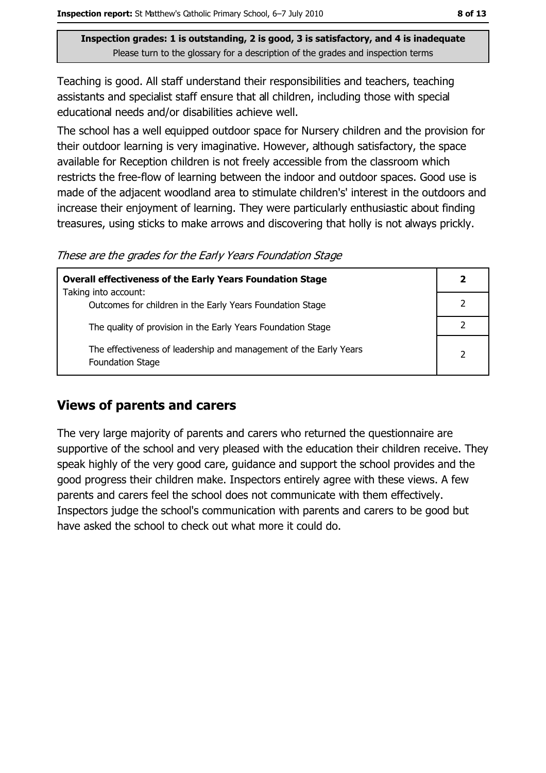Inspection grades: 1 is outstanding, 2 is good, 3 is satisfactory, and 4 is inadequate Please turn to the glossary for a description of the grades and inspection terms

Teaching is good. All staff understand their responsibilities and teachers, teaching assistants and specialist staff ensure that all children, including those with special educational needs and/or disabilities achieve well.

The school has a well equipped outdoor space for Nursery children and the provision for their outdoor learning is very imaginative. However, although satisfactory, the space available for Reception children is not freely accessible from the classroom which restricts the free-flow of learning between the indoor and outdoor spaces. Good use is made of the adjacent woodland area to stimulate children's' interest in the outdoors and increase their enjoyment of learning. They were particularly enthusiastic about finding treasures, using sticks to make arrows and discovering that holly is not always prickly.

These are the grades for the Early Years Foundation Stage

| <b>Overall effectiveness of the Early Years Foundation Stage</b>                             |  |
|----------------------------------------------------------------------------------------------|--|
| Taking into account:                                                                         |  |
| Outcomes for children in the Early Years Foundation Stage                                    |  |
| The quality of provision in the Early Years Foundation Stage                                 |  |
| The effectiveness of leadership and management of the Early Years<br><b>Foundation Stage</b> |  |

#### **Views of parents and carers**

The very large majority of parents and carers who returned the questionnaire are supportive of the school and very pleased with the education their children receive. They speak highly of the very good care, guidance and support the school provides and the good progress their children make. Inspectors entirely agree with these views. A few parents and carers feel the school does not communicate with them effectively. Inspectors judge the school's communication with parents and carers to be good but have asked the school to check out what more it could do.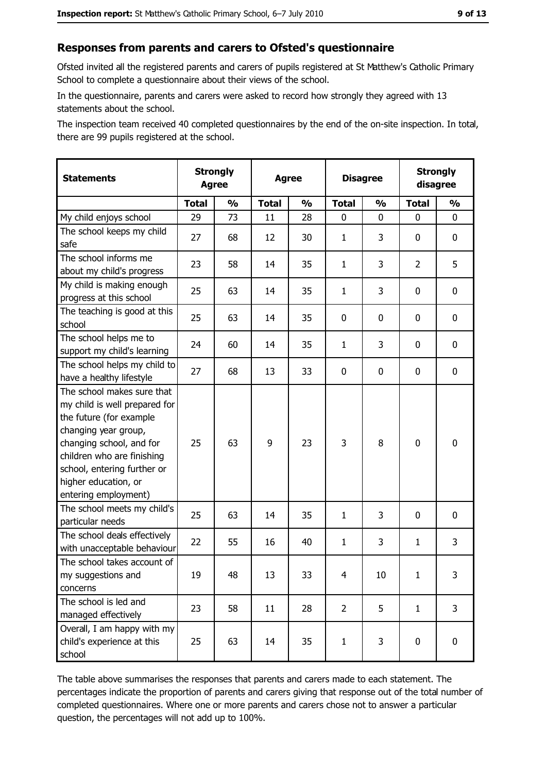### Responses from parents and carers to Ofsted's questionnaire

Ofsted invited all the registered parents and carers of pupils registered at St Matthew's Catholic Primary School to complete a questionnaire about their views of the school.

In the questionnaire, parents and carers were asked to record how strongly they agreed with 13 statements about the school.

The inspection team received 40 completed questionnaires by the end of the on-site inspection. In total, there are 99 pupils registered at the school.

| <b>Statements</b>                                                                                                                                                                                                                                       | <b>Strongly</b><br><b>Agree</b> |               | <b>Agree</b> |                         |                | <b>Disagree</b> |                | <b>Strongly</b><br>disagree |
|---------------------------------------------------------------------------------------------------------------------------------------------------------------------------------------------------------------------------------------------------------|---------------------------------|---------------|--------------|-------------------------|----------------|-----------------|----------------|-----------------------------|
|                                                                                                                                                                                                                                                         | <b>Total</b>                    | $\frac{1}{2}$ | <b>Total</b> | $\mathbf{O}/\mathbf{O}$ | <b>Total</b>   | $\frac{1}{2}$   | <b>Total</b>   | $\frac{1}{2}$               |
| My child enjoys school                                                                                                                                                                                                                                  | 29                              | 73            | 11           | 28                      | 0              | 0               | 0              | 0                           |
| The school keeps my child<br>safe                                                                                                                                                                                                                       | 27                              | 68            | 12           | 30                      | $\mathbf{1}$   | 3               | 0              | $\mathbf 0$                 |
| The school informs me<br>about my child's progress                                                                                                                                                                                                      | 23                              | 58            | 14           | 35                      | $\mathbf{1}$   | 3               | $\overline{2}$ | 5                           |
| My child is making enough<br>progress at this school                                                                                                                                                                                                    | 25                              | 63            | 14           | 35                      | $\mathbf{1}$   | 3               | 0              | 0                           |
| The teaching is good at this<br>school                                                                                                                                                                                                                  | 25                              | 63            | 14           | 35                      | 0              | 0               | 0              | 0                           |
| The school helps me to<br>support my child's learning                                                                                                                                                                                                   | 24                              | 60            | 14           | 35                      | $\mathbf{1}$   | 3               | 0              | 0                           |
| The school helps my child to<br>have a healthy lifestyle                                                                                                                                                                                                | 27                              | 68            | 13           | 33                      | 0              | 0               | 0              | 0                           |
| The school makes sure that<br>my child is well prepared for<br>the future (for example<br>changing year group,<br>changing school, and for<br>children who are finishing<br>school, entering further or<br>higher education, or<br>entering employment) | 25                              | 63            | 9            | 23                      | 3              | 8               | $\mathbf 0$    | 0                           |
| The school meets my child's<br>particular needs                                                                                                                                                                                                         | 25                              | 63            | 14           | 35                      | $\mathbf{1}$   | 3               | 0              | 0                           |
| The school deals effectively<br>with unacceptable behaviour                                                                                                                                                                                             | 22                              | 55            | 16           | 40                      | $\mathbf{1}$   | 3               | $\mathbf{1}$   | 3                           |
| The school takes account of<br>my suggestions and<br>concerns                                                                                                                                                                                           | 19                              | 48            | 13           | 33                      | $\overline{4}$ | 10              | $\mathbf{1}$   | 3                           |
| The school is led and<br>managed effectively                                                                                                                                                                                                            | 23                              | 58            | 11           | 28                      | $\overline{2}$ | 5               | $\mathbf{1}$   | 3                           |
| Overall, I am happy with my<br>child's experience at this<br>school                                                                                                                                                                                     | 25                              | 63            | 14           | 35                      | $\mathbf{1}$   | 3               | $\mathbf 0$    | 0                           |

The table above summarises the responses that parents and carers made to each statement. The percentages indicate the proportion of parents and carers giving that response out of the total number of completed questionnaires. Where one or more parents and carers chose not to answer a particular question, the percentages will not add up to 100%.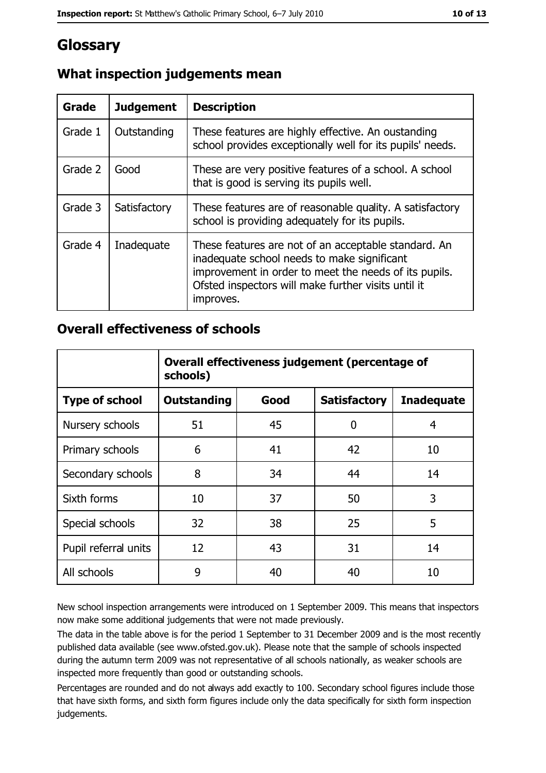# Glossary

| Grade   | <b>Judgement</b> | <b>Description</b>                                                                                                                                                                                                               |
|---------|------------------|----------------------------------------------------------------------------------------------------------------------------------------------------------------------------------------------------------------------------------|
| Grade 1 | Outstanding      | These features are highly effective. An oustanding<br>school provides exceptionally well for its pupils' needs.                                                                                                                  |
| Grade 2 | Good             | These are very positive features of a school. A school<br>that is good is serving its pupils well.                                                                                                                               |
| Grade 3 | Satisfactory     | These features are of reasonable quality. A satisfactory<br>school is providing adequately for its pupils.                                                                                                                       |
| Grade 4 | Inadequate       | These features are not of an acceptable standard. An<br>inadequate school needs to make significant<br>improvement in order to meet the needs of its pupils.<br>Ofsted inspectors will make further visits until it<br>improves. |

# What inspection judgements mean

#### **Overall effectiveness of schools**

|                       | Overall effectiveness judgement (percentage of<br>schools) |      |                     |                   |
|-----------------------|------------------------------------------------------------|------|---------------------|-------------------|
| <b>Type of school</b> | <b>Outstanding</b>                                         | Good | <b>Satisfactory</b> | <b>Inadequate</b> |
| Nursery schools       | 51                                                         | 45   | 0                   | 4                 |
| Primary schools       | 6                                                          | 41   | 42                  | 10                |
| Secondary schools     | 8                                                          | 34   | 44                  | 14                |
| Sixth forms           | 10                                                         | 37   | 50                  | 3                 |
| Special schools       | 32                                                         | 38   | 25                  | 5                 |
| Pupil referral units  | 12                                                         | 43   | 31                  | 14                |
| All schools           | 9                                                          | 40   | 40                  | 10                |

New school inspection arrangements were introduced on 1 September 2009. This means that inspectors now make some additional judgements that were not made previously.

The data in the table above is for the period 1 September to 31 December 2009 and is the most recently published data available (see www.ofsted.gov.uk). Please note that the sample of schools inspected during the autumn term 2009 was not representative of all schools nationally, as weaker schools are inspected more frequently than good or outstanding schools.

Percentages are rounded and do not always add exactly to 100. Secondary school figures include those that have sixth forms, and sixth form figures include only the data specifically for sixth form inspection judgements.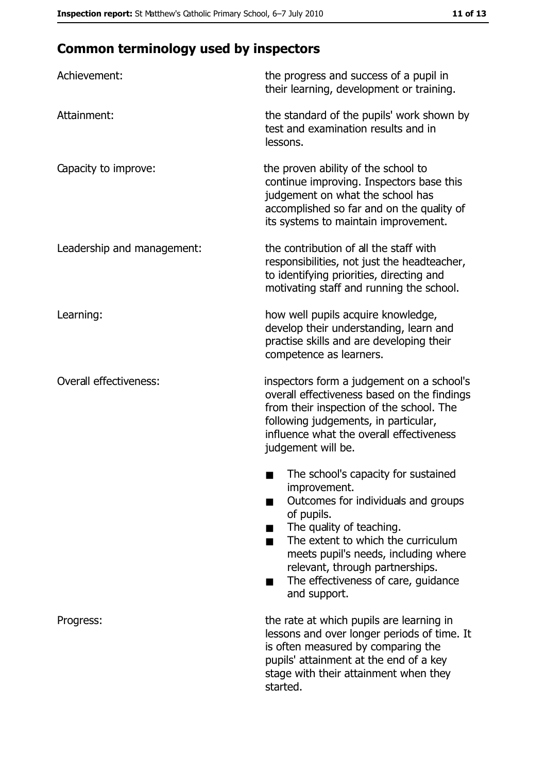# **Common terminology used by inspectors**

| Achievement:                  | the progress and success of a pupil in<br>their learning, development or training.                                                                                                                                                                                                                                |  |  |
|-------------------------------|-------------------------------------------------------------------------------------------------------------------------------------------------------------------------------------------------------------------------------------------------------------------------------------------------------------------|--|--|
| Attainment:                   | the standard of the pupils' work shown by<br>test and examination results and in<br>lessons.                                                                                                                                                                                                                      |  |  |
| Capacity to improve:          | the proven ability of the school to<br>continue improving. Inspectors base this<br>judgement on what the school has<br>accomplished so far and on the quality of<br>its systems to maintain improvement.                                                                                                          |  |  |
| Leadership and management:    | the contribution of all the staff with<br>responsibilities, not just the headteacher,<br>to identifying priorities, directing and<br>motivating staff and running the school.                                                                                                                                     |  |  |
| Learning:                     | how well pupils acquire knowledge,<br>develop their understanding, learn and<br>practise skills and are developing their<br>competence as learners.                                                                                                                                                               |  |  |
| <b>Overall effectiveness:</b> | inspectors form a judgement on a school's<br>overall effectiveness based on the findings<br>from their inspection of the school. The<br>following judgements, in particular,<br>influence what the overall effectiveness<br>judgement will be.                                                                    |  |  |
|                               | The school's capacity for sustained<br>improvement.<br>Outcomes for individuals and groups<br>of pupils.<br>The quality of teaching.<br>The extent to which the curriculum<br>meets pupil's needs, including where<br>relevant, through partnerships.<br>The effectiveness of care, guidance<br>▄<br>and support. |  |  |
| Progress:                     | the rate at which pupils are learning in<br>lessons and over longer periods of time. It<br>is often measured by comparing the<br>pupils' attainment at the end of a key<br>stage with their attainment when they<br>started.                                                                                      |  |  |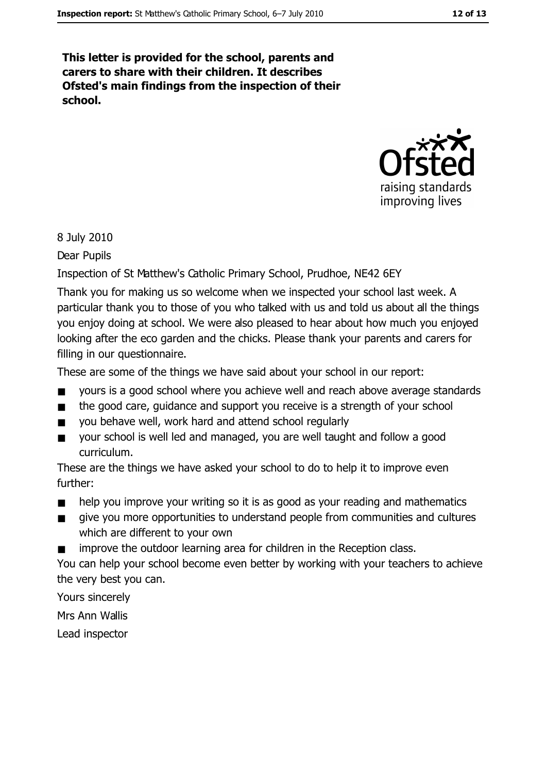This letter is provided for the school, parents and carers to share with their children. It describes Ofsted's main findings from the inspection of their school.



#### 8 July 2010

Dear Pupils

Inspection of St Matthew's Catholic Primary School, Prudhoe, NE42 6EY

Thank you for making us so welcome when we inspected your school last week. A particular thank you to those of you who talked with us and told us about all the things you enjoy doing at school. We were also pleased to hear about how much you enjoyed looking after the eco garden and the chicks. Please thank your parents and carers for filling in our questionnaire.

These are some of the things we have said about your school in our report:

- yours is a good school where you achieve well and reach above average standards  $\blacksquare$
- $\blacksquare$ the good care, guidance and support you receive is a strength of your school
- you behave well, work hard and attend school regularly  $\blacksquare$
- vour school is well led and managed, you are well taught and follow a good  $\blacksquare$ curriculum.

These are the things we have asked your school to do to help it to improve even further:

- help you improve your writing so it is as good as your reading and mathematics  $\blacksquare$
- give you more opportunities to understand people from communities and cultures which are different to your own
- improve the outdoor learning area for children in the Reception class.

You can help your school become even better by working with your teachers to achieve the very best you can.

Yours sincerely

Mrs Ann Wallis

Lead inspector